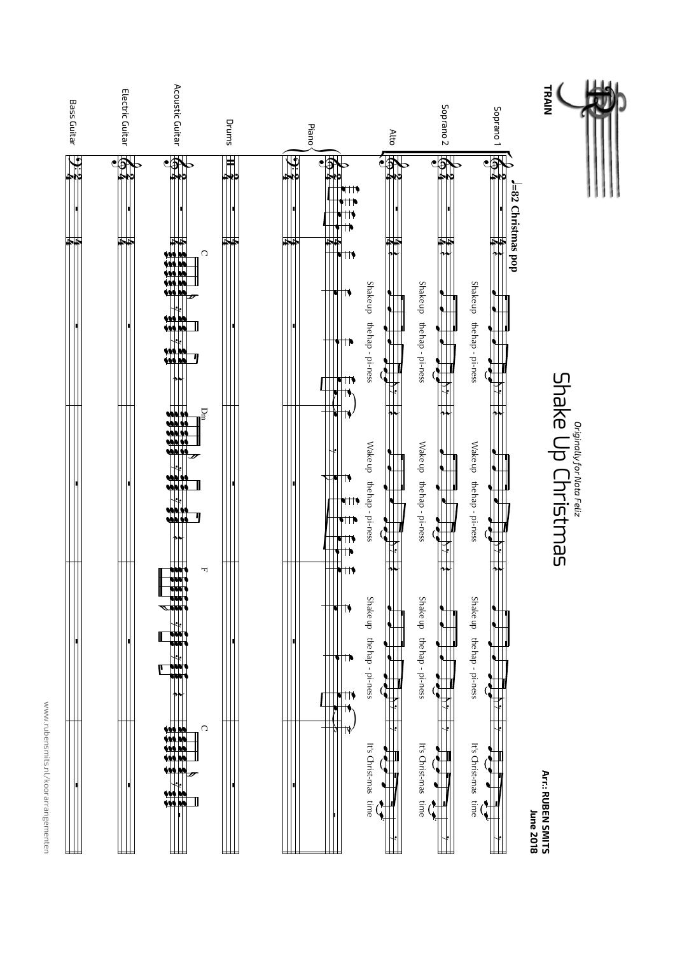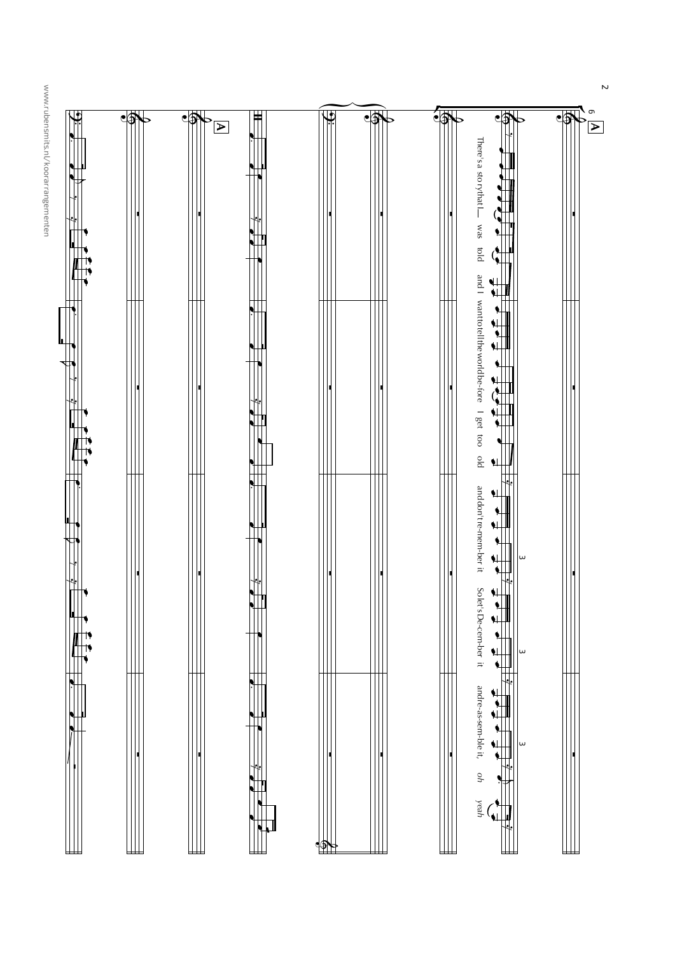www.rubensmits.nl/koorarrangementen



 $\overline{N}$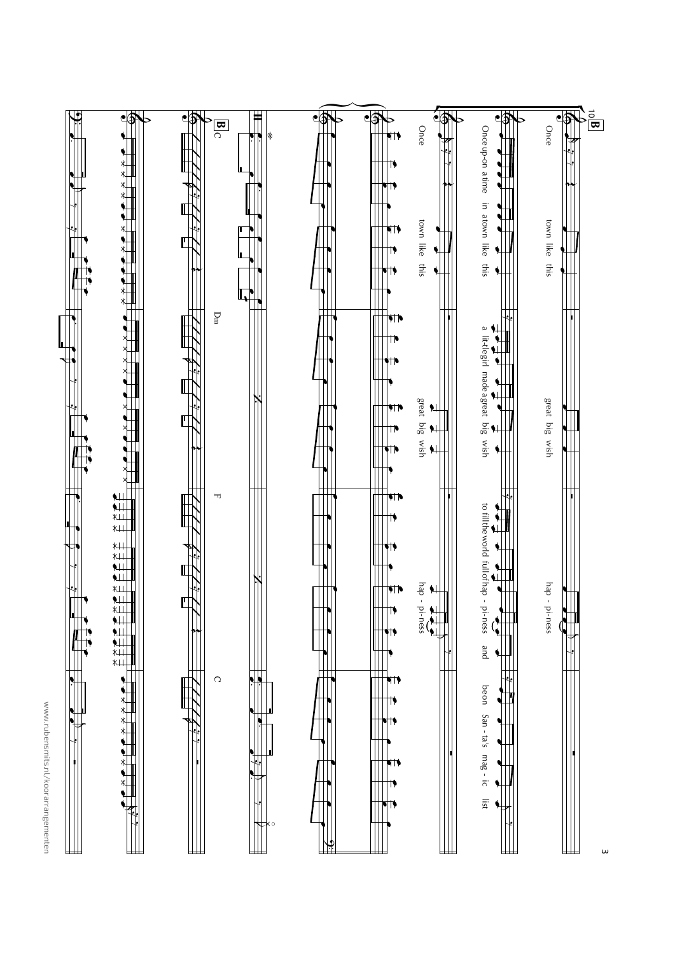



 $\omega$